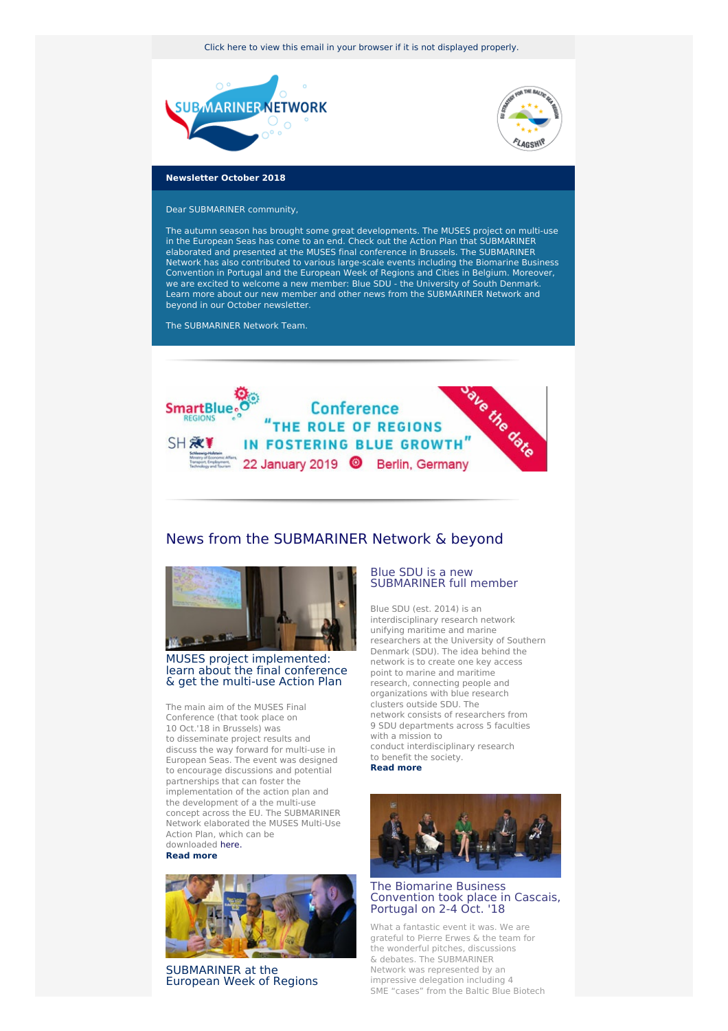Click here to view this email in your browser if it is not [displayed](http://www.newsletter-webversion.de/testmail/) properly.





# **Newsletter October 2018**

Dear SUBMARINER community,

The autumn season has brought some great developments. The MUSES project on multi-use in the European Seas has come to an end. Check out the Action Plan that SUBMARINER elaborated and presented at the MUSES final conference in Brussels. The SUBMARINER Network has also contributed to various large-scale events including the Biomarine Business Convention in Portugal and the European Week of Regions and Cities in Belgium. Moreover, we are excited to welcome a new member: Blue SDU - the University of South Denmark. Learn more about our new member and other news from the SUBMARINER Network and beyond in our October newsletter.

The SUBMARINER Network Team.



# News from the SUBMARINER Network & beyond



## MUSES project [implemented:](https://www.submariner-network.eu/news/general-news/391-the-muses-final-conference) learn about the final conference & get the multi-use Action Plan

The main aim of the MUSES Final Conference (that took place on 10 Oct.'18 in Brussels) was to disseminate project results and discuss the way forward for multi-use in European Seas. The event was designed to encourage discussions and potential partnerships that can foster the implementation of the action plan and the development of a the multi-use concept across the EU. The SUBMARINER Network elaborated the MUSES Multi-Use Action Plan, which can be downloaded [here.](https://www.submariner-network.eu/news/general-news/391-the-muses-final-conference)

#### **[Read](https://www.submariner-network.eu/news/general-news/391-the-muses-final-conference) more**



[SUBMARINER](https://www.submariner-network.eu/news/general-news/390-submariner-at-the-european-week-of-regions-and-cities) at the European Week of Regions

# Blue SDU is a new [SUBMARINER]( https://www.sdu.dk/en/om_sdu/institutter_centre/sdumechanicalengineering/researchareas/maritim+teknologi/networks/blue+sdu/about+blue+sdu) full member

Blue SDU (est. 2014) is an interdisciplinary research network unifying maritime and marine researchers at the University of Southern Denmark (SDU). The idea behind the network is to create one key access point to marine and maritime research, connecting people and organizations with blue research clusters outside SDU. The network consists of researchers from 9 SDU departments across 5 faculties with a mission to conduct interdisciplinary research to benefit the society. **Read [more]( https://www.sdu.dk/en/om_sdu/institutter_centre/sdumechanicalengineering/researchareas/maritim+teknologi/networks/blue+sdu/about+blue+sdu)**





#### The Biomarine Business [Convention](https://www.submariner-network.eu/news/general-news/392-the-biomarine-business-convention-took-place-on-2-4-october-in-cascais-portugal) took place in Cascais, Portugal on 2-4 Oct. '18

What a fantastic event it was. We are grateful to Pierre Erwes & the team for the wonderful pitches, discussions & debates. The SUBMARINER Network was represented by an impressive delegation including 4 SME "cases" from the Baltic Blue Biotech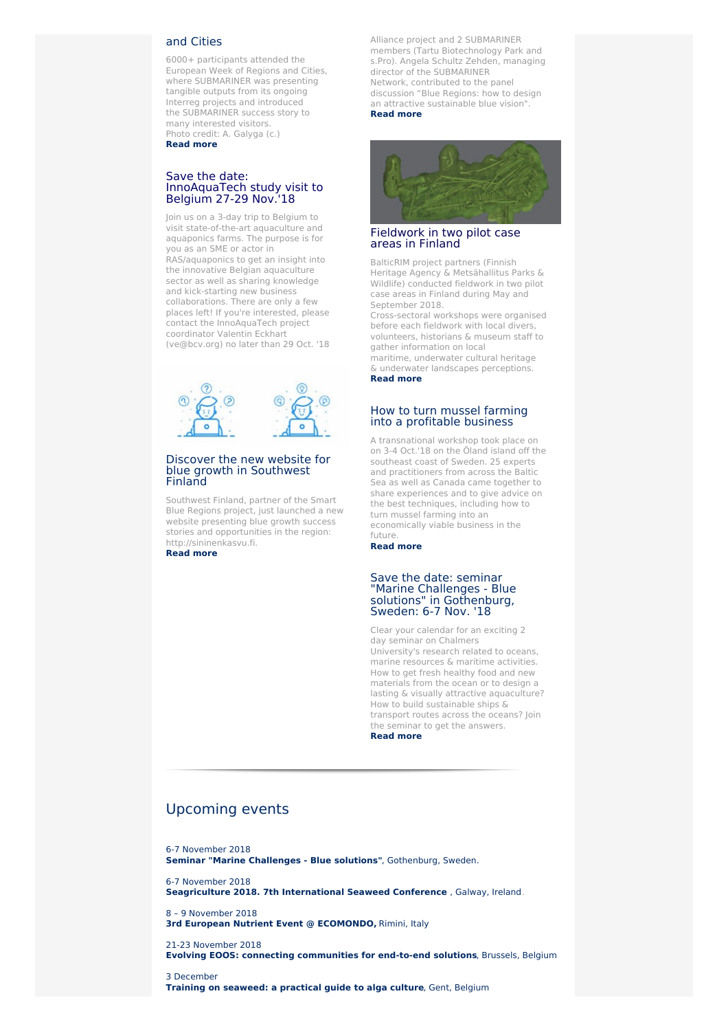# and Cities

6000+ participants attended the European Week of Regions and Cities, where SUBMARINER was presenting tangible outputs from its ongoing Interreg projects and introduced the SUBMARINER success story to many interested visitors. Photo credit: A. Galyga (c.) **[Read](https://www.submariner-network.eu/news/general-news/390-submariner-at-the-european-week-of-regions-and-cities) more**

#### Save the date: InnoAquaTech study visit to Belgium 27-29 Nov.'18

Join us on a 3-day trip to Belgium to visit state-of-the-art aquaculture and aquaponics farms. The purpose is for you as an SME or actor in RAS/aquaponics to get an insight into the innovative Belgian aquaculture sector as well as sharing knowledge and kick-starting new business collaborations. There are only a few places left! If you're interested, please contact the InnoAquaTech project coordinator Valentin Eckhart (ve@bcv.org) no later than 29 Oct. '18



#### Discover the new website for blue growth in [Southwest](https://www.submariner-network.eu/projects/smartblueregions/smart-blue-regions-news/383-discover-the-new-website-for-blue-growth-in-southwest-finland) Finland

Southwest Finland, partner of the Smart Blue Regions project, just launched a new website presenting blue growth success stories and opportunities in the region: http://sininenkasvu.fi.

**[Read](https://www.submariner-network.eu/projects/smartblueregions/smart-blue-regions-news/383-discover-the-new-website-for-blue-growth-in-southwest-finland) more**

Alliance project and 2 SUBMARINER members (Tartu Biotechnology Park and s.Pro). Angela Schultz Zehden, managing director of the SUBMARINER Network, contributed to the panel discussion "Blue Regions: how to design an attractive sustainable blue vision". **Read [more](https://www.submariner-network.eu/news/general-news/392-the-biomarine-business-convention-took-place-on-2-4-october-in-cascais-portugal)**



## [Fieldwork](https://www.submariner-network.eu/projects/balticrim/balticrim-news-2/388-fieldwork-in-two-pilot-case-areas-in-finland) in two pilot case areas in Finland

BalticRIM project partners (Finnish Heritage Agency & Metsähallitus Parks & Wildlife) conducted fieldwork in two pilot case areas in Finland during May and September 2018.

Cross-sectoral workshops were organised before each fieldwork with local divers, volunteers, historians & museum staff to gather information on local maritime, underwater cultural heritage & underwater landscapes perceptions.

**Read [more](https://www.submariner-network.eu/projects/balticrim/balticrim-news-2/388-fieldwork-in-two-pilot-case-areas-in-finland)**

#### How to turn mussel farming into a [profitable](https://www.submariner-network.eu/projects/balticbluegrowth/baltic-blue-growth-news/389-experts-and-practitioners-discuss-mussel-cultivation-techniques-in-the-baltic-sea) business

A transnational workshop took place on on 3-4 Oct.'18 on the Öland island off the southeast coast of Sweden. 25 experts and practitioners from across the Baltic Sea as well as Canada came together to share experiences and to give advice on the best techniques, including how to turn mussel farming into an economically viable business in the future.

**Read [more](https://www.submariner-network.eu/projects/balticbluegrowth/baltic-blue-growth-news/389-experts-and-practitioners-discuss-mussel-cultivation-techniques-in-the-baltic-sea)**

#### Save the date: seminar "Marine Challenges - Blue solutions" in [Gothenburg,](https://www.submariner-network.eu/events/147-seminar-marine-challenges-blue-solutions) Sweden: 6-7 Nov. '18

Clear your calendar for an exciting 2 day seminar on Chalmers University's research related to oceans, marine resources & maritime activities. How to get fresh healthy food and new materials from the ocean or to design a lasting & visually attractive aquaculture? How to build sustainable ships & transport routes across the oceans? Join the seminar to get the answers. **Read [more](https://www.submariner-network.eu/events/147-seminar-marine-challenges-blue-solutions)**

# [Upcoming](https://www.submariner-network.eu/events) events

6-7 [November](https://www.submariner-network.eu/events/147-seminar-marine-challenges-blue-solutions) 2018 **Seminar "Marine Challenges - Blue solutions"**, [Gothenburg,](https://www.submariner-network.eu/events/147-seminar-marine-challenges-blue-solutions) Sweden.

6-7 [November](https://www.submariner-network.eu/events/134-seagriculture-2018-7th-international-seaweed-conference) 2018 **[Seagriculture](https://www.submariner-network.eu/events/134-seagriculture-2018-7th-international-seaweed-conference) 2018. 7th International Seaweed Conference** , Galway, Ireland.

8 – 9 [November](https://www.submariner-network.eu/events/146-3rd-european-nutrient-event-ecomondo) 2018 **3rd European Nutrient Event @ [ECOMONDO,](https://www.submariner-network.eu/events/146-3rd-european-nutrient-event-ecomondo)** Rimini, Italy

21-23 [November](https://eoosconference2018.eu/conference-programme) 2018 **Evolving EOOS: connecting [communities](https://eoosconference2018.eu/conference-programme) for end-to-end solutions**, Brussels, Belgium

3 [December](https://www.submariner-network.eu/events/149-training-a-practical-guide-to-algaculture) **Training on [seaweed:](https://www.submariner-network.eu/events/149-training-a-practical-guide-to-algaculture) a practical guide to alga culture**, Gent, Belgium